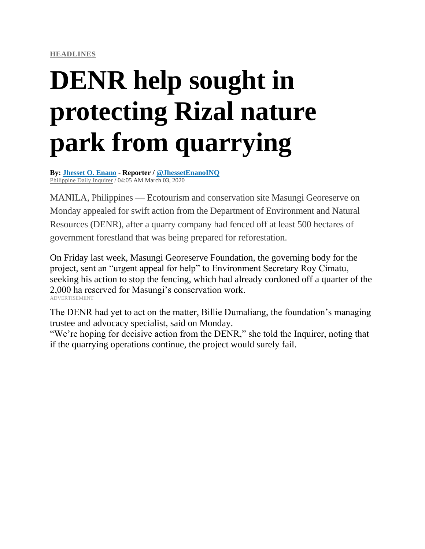## **[HEADLINES](https://newsinfo.inquirer.net/category/inquirer-headlines)**

## **DENR help sought in protecting Rizal nature park from quarrying**

**By: [Jhesset](https://newsinfo.inquirer.net/byline/jhesset-o-enano) O. Enano - Reporter / [@JhessetEnanoINQ](https://www.twitter.com/@JhessetEnanoINQ)** [Philippine](https://newsinfo.inquirer.net/source/philippine-daily-inquirer) Daily Inquirer / 04:05 AM March 03, 2020

MANILA, Philippines — Ecotourism and conservation site Masungi Georeserve on Monday appealed for swift action from the Department of Environment and Natural Resources (DENR), after a quarry company had fenced off at least 500 hectares of government forestland that was being prepared for reforestation.

On Friday last week, Masungi Georeserve Foundation, the governing body for the project, sent an "urgent appeal for help" to Environment Secretary Roy Cimatu, seeking his action to stop the fencing, which had already cordoned off a quarter of the 2,000 ha reserved for Masungi's conservation work. ADVERTISEMENT

The DENR had yet to act on the matter, Billie Dumaliang, the foundation's managing trustee and advocacy specialist, said on Monday.

"We're hoping for decisive action from the DENR," she told the Inquirer, noting that if the quarrying operations continue, the project would surely fail.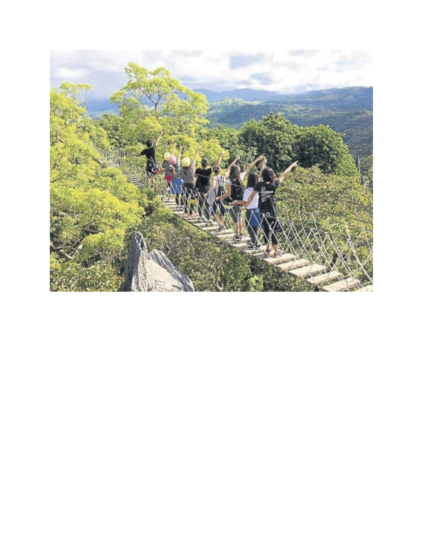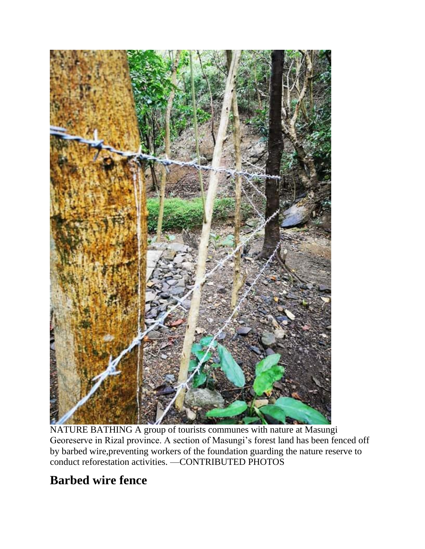

NATURE BATHING A group of tourists communes with nature at Masungi Georeserve in Rizal province. A section of Masungi's forest land has been fenced off by barbed wire,preventing workers of the foundation guarding the nature reserve to conduct reforestation activities. —CONTRIBUTED PHOTOS

## **Barbed wire fence**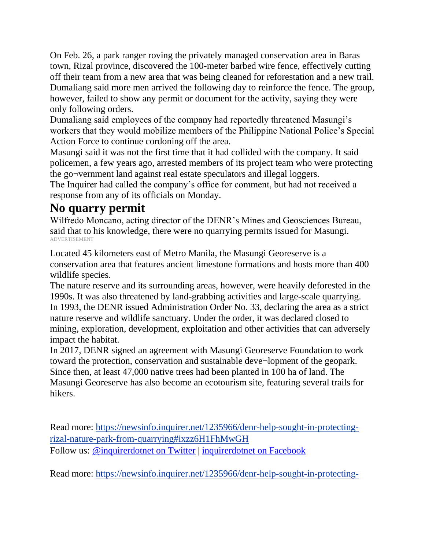On Feb. 26, a park ranger roving the privately managed conservation area in Baras town, Rizal province, discovered the 100-meter barbed wire fence, effectively cutting off their team from a new area that was being cleaned for reforestation and a new trail. Dumaliang said more men arrived the following day to reinforce the fence. The group, however, failed to show any permit or document for the activity, saying they were only following orders.

Dumaliang said employees of the company had reportedly threatened Masungi's workers that they would mobilize members of the Philippine National Police's Special Action Force to continue cordoning off the area.

Masungi said it was not the first time that it had collided with the company. It said policemen, a few years ago, arrested members of its project team who were protecting the go¬vernment land against real estate speculators and illegal loggers.

The Inquirer had called the company's office for comment, but had not received a response from any of its officials on Monday.

## **No quarry permit**

Wilfredo Moncano, acting director of the DENR's Mines and Geosciences Bureau, said that to his knowledge, there were no quarrying permits issued for Masungi. ADVERTISEMENT

Located 45 kilometers east of Metro Manila, the Masungi Georeserve is a conservation area that features ancient limestone formations and hosts more than 400 wildlife species.

The nature reserve and its surrounding areas, however, were heavily deforested in the 1990s. It was also threatened by land-grabbing activities and large-scale quarrying. In 1993, the DENR issued Administration Order No. 33, declaring the area as a strict nature reserve and wildlife sanctuary. Under the order, it was declared closed to mining, exploration, development, exploitation and other activities that can adversely impact the habitat.

In 2017, DENR signed an agreement with Masungi Georeserve Foundation to work toward the protection, conservation and sustainable deve¬lopment of the geopark. Since then, at least 47,000 native trees had been planted in 100 ha of land. The Masungi Georeserve has also become an ecotourism site, featuring several trails for hikers.

Read more: [https://newsinfo.inquirer.net/1235966/denr-help-sought-in-protecting](https://newsinfo.inquirer.net/1235966/denr-help-sought-in-protecting-rizal-nature-park-from-quarrying#ixzz6H1FhMwGH)[rizal-nature-park-from-quarrying#ixzz6H1FhMwGH](https://newsinfo.inquirer.net/1235966/denr-help-sought-in-protecting-rizal-nature-park-from-quarrying#ixzz6H1FhMwGH) Follow us: [@inquirerdotnet](https://ec.tynt.com/b/rw?id=bSAw-mF-0r4Q-4acwqm_6r&u=inquirerdotnet) on Twitter | [inquirerdotnet](https://ec.tynt.com/b/rf?id=bSAw-mF-0r4Q-4acwqm_6r&u=inquirerdotnet) on Facebook

Read more: [https://newsinfo.inquirer.net/1235966/denr-help-sought-in-protecting-](https://newsinfo.inquirer.net/1235966/denr-help-sought-in-protecting-rizal-nature-park-from-quarrying#ixzz6H1F48r4o)